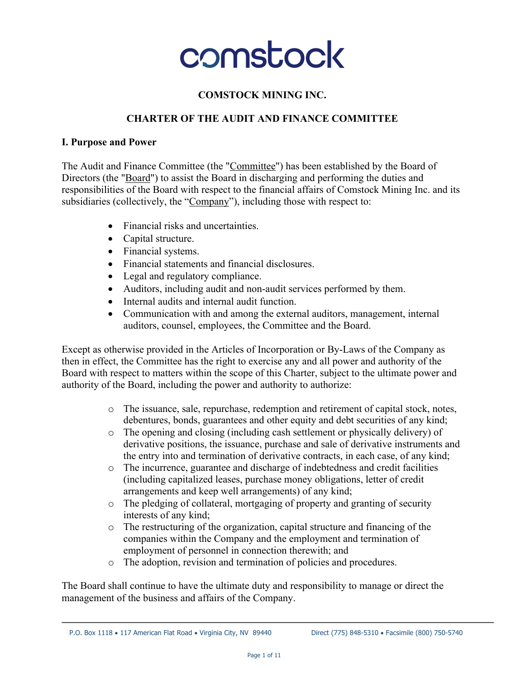

### **COMSTOCK MINING INC.**

#### **CHARTER OF THE AUDIT AND FINANCE COMMITTEE**

#### **I. Purpose and Power**

The Audit and Finance Committee (the "Committee") has been established by the Board of Directors (the "Board") to assist the Board in discharging and performing the duties and responsibilities of the Board with respect to the financial affairs of Comstock Mining Inc. and its subsidiaries (collectively, the "Company"), including those with respect to:

- Financial risks and uncertainties.
- Capital structure.
- Financial systems.
- Financial statements and financial disclosures.
- Legal and regulatory compliance.
- Auditors, including audit and non-audit services performed by them.
- Internal audits and internal audit function.
- Communication with and among the external auditors, management, internal auditors, counsel, employees, the Committee and the Board.

Except as otherwise provided in the Articles of Incorporation or By-Laws of the Company as then in effect, the Committee has the right to exercise any and all power and authority of the Board with respect to matters within the scope of this Charter, subject to the ultimate power and authority of the Board, including the power and authority to authorize:

- o The issuance, sale, repurchase, redemption and retirement of capital stock, notes, debentures, bonds, guarantees and other equity and debt securities of any kind;
- o The opening and closing (including cash settlement or physically delivery) of derivative positions, the issuance, purchase and sale of derivative instruments and the entry into and termination of derivative contracts, in each case, of any kind;
- o The incurrence, guarantee and discharge of indebtedness and credit facilities (including capitalized leases, purchase money obligations, letter of credit arrangements and keep well arrangements) of any kind;
- o The pledging of collateral, mortgaging of property and granting of security interests of any kind;
- o The restructuring of the organization, capital structure and financing of the companies within the Company and the employment and termination of employment of personnel in connection therewith; and
- o The adoption, revision and termination of policies and procedures.

The Board shall continue to have the ultimate duty and responsibility to manage or direct the management of the business and affairs of the Company.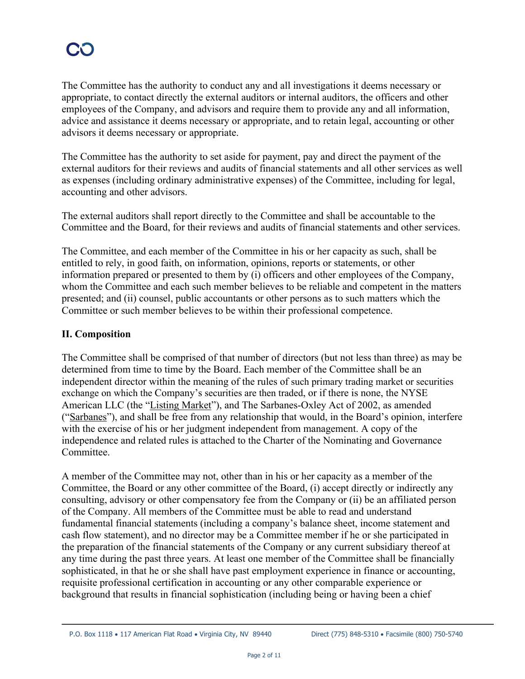The Committee has the authority to conduct any and all investigations it deems necessary or appropriate, to contact directly the external auditors or internal auditors, the officers and other employees of the Company, and advisors and require them to provide any and all information, advice and assistance it deems necessary or appropriate, and to retain legal, accounting or other advisors it deems necessary or appropriate.

The Committee has the authority to set aside for payment, pay and direct the payment of the external auditors for their reviews and audits of financial statements and all other services as well as expenses (including ordinary administrative expenses) of the Committee, including for legal, accounting and other advisors.

The external auditors shall report directly to the Committee and shall be accountable to the Committee and the Board, for their reviews and audits of financial statements and other services.

The Committee, and each member of the Committee in his or her capacity as such, shall be entitled to rely, in good faith, on information, opinions, reports or statements, or other information prepared or presented to them by (i) officers and other employees of the Company, whom the Committee and each such member believes to be reliable and competent in the matters presented; and (ii) counsel, public accountants or other persons as to such matters which the Committee or such member believes to be within their professional competence.

### **II. Composition**

The Committee shall be comprised of that number of directors (but not less than three) as may be determined from time to time by the Board. Each member of the Committee shall be an independent director within the meaning of the rules of such primary trading market or securities exchange on which the Company's securities are then traded, or if there is none, the NYSE American LLC (the "Listing Market"), and The Sarbanes-Oxley Act of 2002, as amended ("Sarbanes"), and shall be free from any relationship that would, in the Board's opinion, interfere with the exercise of his or her judgment independent from management. A copy of the independence and related rules is attached to the Charter of the Nominating and Governance Committee.

A member of the Committee may not, other than in his or her capacity as a member of the Committee, the Board or any other committee of the Board, (i) accept directly or indirectly any consulting, advisory or other compensatory fee from the Company or (ii) be an affiliated person of the Company. All members of the Committee must be able to read and understand fundamental financial statements (including a company's balance sheet, income statement and cash flow statement), and no director may be a Committee member if he or she participated in the preparation of the financial statements of the Company or any current subsidiary thereof at any time during the past three years. At least one member of the Committee shall be financially sophisticated, in that he or she shall have past employment experience in finance or accounting, requisite professional certification in accounting or any other comparable experience or background that results in financial sophistication (including being or having been a chief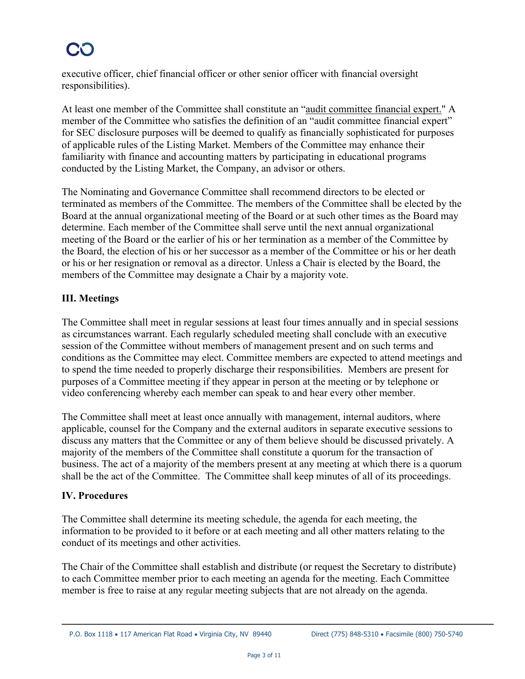executive officer, chief financial officer or other senior officer with financial oversight responsibilities).

At least one member of the Committee shall constitute an "audit committee financial expert." A member of the Committee who satisfies the definition of an "audit committee financial expert" for SEC disclosure purposes will be deemed to qualify as financially sophisticated for purposes of applicable rules of the Listing Market. Members of the Committee may enhance their familiarity with finance and accounting matters by participating in educational programs conducted by the Listing Market, the Company, an advisor or others.

The Nominating and Governance Committee shall recommend directors to be elected or terminated as members of the Committee. The members of the Committee shall be elected by the Board at the annual organizational meeting of the Board or at such other times as the Board may determine. Each member of the Committee shall serve until the next annual organizational meeting of the Board or the earlier of his or her termination as a member of the Committee by the Board, the election of his or her successor as a member of the Committee or his or her death or his or her resignation or removal as a director. Unless a Chair is elected by the Board, the members of the Committee may designate a Chair by a majority vote.

## **III. Meetings**

The Committee shall meet in regular sessions at least four times annually and in special sessions as circumstances warrant. Each regularly scheduled meeting shall conclude with an executive session of the Committee without members of management present and on such terms and conditions as the Committee may elect. Committee members are expected to attend meetings and to spend the time needed to properly discharge their responsibilities. Members are present for purposes of a Committee meeting if they appear in person at the meeting or by telephone or video conferencing whereby each member can speak to and hear every other member.

The Committee shall meet at least once annually with management, internal auditors, where applicable, counsel for the Company and the external auditors in separate executive sessions to discuss any matters that the Committee or any of them believe should be discussed privately. A majority of the members of the Committee shall constitute a quorum for the transaction of business. The act of a majority of the members present at any meeting at which there is a quorum shall be the act of the Committee. The Committee shall keep minutes of all of its proceedings.

### **IV. Procedures**

The Committee shall determine its meeting schedule, the agenda for each meeting, the information to be provided to it before or at each meeting and all other matters relating to the conduct of its meetings and other activities.

The Chair of the Committee shall establish and distribute (or request the Secretary to distribute) to each Committee member prior to each meeting an agenda for the meeting. Each Committee member is free to raise at any regular meeting subjects that are not already on the agenda.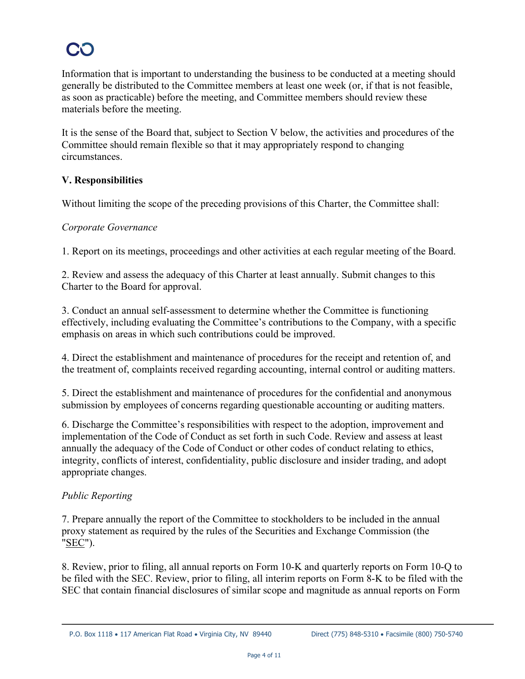Information that is important to understanding the business to be conducted at a meeting should generally be distributed to the Committee members at least one week (or, if that is not feasible, as soon as practicable) before the meeting, and Committee members should review these materials before the meeting.

It is the sense of the Board that, subject to Section V below, the activities and procedures of the Committee should remain flexible so that it may appropriately respond to changing circumstances.

## **V. Responsibilities**

Without limiting the scope of the preceding provisions of this Charter, the Committee shall:

#### *Corporate Governance*

1. Report on its meetings, proceedings and other activities at each regular meeting of the Board.

2. Review and assess the adequacy of this Charter at least annually. Submit changes to this Charter to the Board for approval.

3. Conduct an annual self-assessment to determine whether the Committee is functioning effectively, including evaluating the Committee's contributions to the Company, with a specific emphasis on areas in which such contributions could be improved.

4. Direct the establishment and maintenance of procedures for the receipt and retention of, and the treatment of, complaints received regarding accounting, internal control or auditing matters.

5. Direct the establishment and maintenance of procedures for the confidential and anonymous submission by employees of concerns regarding questionable accounting or auditing matters.

6. Discharge the Committee's responsibilities with respect to the adoption, improvement and implementation of the Code of Conduct as set forth in such Code. Review and assess at least annually the adequacy of the Code of Conduct or other codes of conduct relating to ethics, integrity, conflicts of interest, confidentiality, public disclosure and insider trading, and adopt appropriate changes.

### *Public Reporting*

7. Prepare annually the report of the Committee to stockholders to be included in the annual proxy statement as required by the rules of the Securities and Exchange Commission (the "SEC").

8. Review, prior to filing, all annual reports on Form 10-K and quarterly reports on Form 10-Q to be filed with the SEC. Review, prior to filing, all interim reports on Form 8-K to be filed with the SEC that contain financial disclosures of similar scope and magnitude as annual reports on Form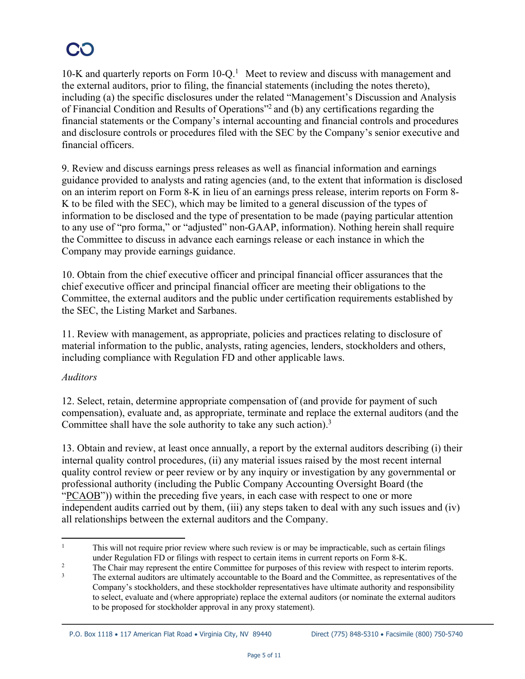10-K and quarterly reports on Form  $10-Q<sup>1</sup>$  Meet to review and discuss with management and the external auditors, prior to filing, the financial statements (including the notes thereto), including (a) the specific disclosures under the related "Management's Discussion and Analysis of Financial Condition and Results of Operations"2 and (b) any certifications regarding the financial statements or the Company's internal accounting and financial controls and procedures and disclosure controls or procedures filed with the SEC by the Company's senior executive and financial officers.

9. Review and discuss earnings press releases as well as financial information and earnings guidance provided to analysts and rating agencies (and, to the extent that information is disclosed on an interim report on Form 8-K in lieu of an earnings press release, interim reports on Form 8- K to be filed with the SEC), which may be limited to a general discussion of the types of information to be disclosed and the type of presentation to be made (paying particular attention to any use of "pro forma," or "adjusted" non-GAAP, information). Nothing herein shall require the Committee to discuss in advance each earnings release or each instance in which the Company may provide earnings guidance.

10. Obtain from the chief executive officer and principal financial officer assurances that the chief executive officer and principal financial officer are meeting their obligations to the Committee, the external auditors and the public under certification requirements established by the SEC, the Listing Market and Sarbanes.

11. Review with management, as appropriate, policies and practices relating to disclosure of material information to the public, analysts, rating agencies, lenders, stockholders and others, including compliance with Regulation FD and other applicable laws.

### *Auditors*

12. Select, retain, determine appropriate compensation of (and provide for payment of such compensation), evaluate and, as appropriate, terminate and replace the external auditors (and the Committee shall have the sole authority to take any such action).<sup>3</sup>

13. Obtain and review, at least once annually, a report by the external auditors describing (i) their internal quality control procedures, (ii) any material issues raised by the most recent internal quality control review or peer review or by any inquiry or investigation by any governmental or professional authority (including the Public Company Accounting Oversight Board (the "PCAOB")) within the preceding five years, in each case with respect to one or more independent audits carried out by them, (iii) any steps taken to deal with any such issues and (iv) all relationships between the external auditors and the Company.

<sup>&</sup>lt;sup>1</sup> This will not require prior review where such review is or may be impracticable, such as certain filings under Regulation FD or filings with respect to certain items in current reports on Form 8-K.

<sup>&</sup>lt;sup>2</sup><br>The Chair may represent the entire Committee for purposes of this review with respect to interim reports.

The external auditors are ultimately accountable to the Board and the Committee, as representatives of the Company's stockholders, and these stockholder representatives have ultimate authority and responsibility to select, evaluate and (where appropriate) replace the external auditors (or nominate the external auditors to be proposed for stockholder approval in any proxy statement).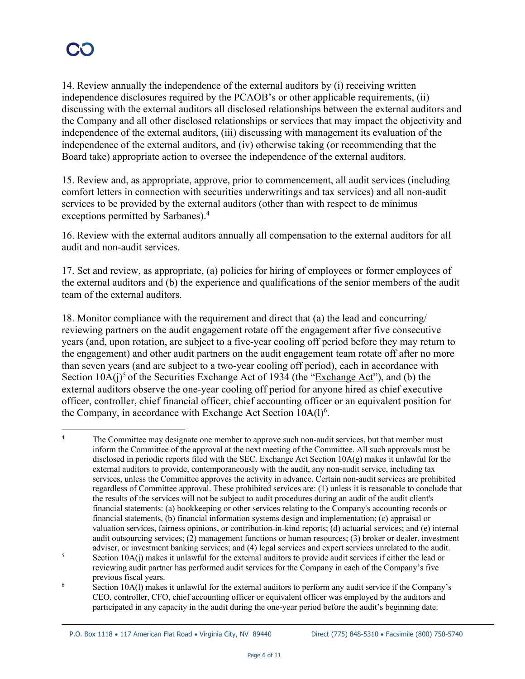14. Review annually the independence of the external auditors by (i) receiving written independence disclosures required by the PCAOB's or other applicable requirements, (ii) discussing with the external auditors all disclosed relationships between the external auditors and the Company and all other disclosed relationships or services that may impact the objectivity and independence of the external auditors, (iii) discussing with management its evaluation of the independence of the external auditors, and (iv) otherwise taking (or recommending that the Board take) appropriate action to oversee the independence of the external auditors.

15. Review and, as appropriate, approve, prior to commencement, all audit services (including comfort letters in connection with securities underwritings and tax services) and all non-audit services to be provided by the external auditors (other than with respect to de minimus exceptions permitted by Sarbanes).4

16. Review with the external auditors annually all compensation to the external auditors for all audit and non-audit services.

17. Set and review, as appropriate, (a) policies for hiring of employees or former employees of the external auditors and (b) the experience and qualifications of the senior members of the audit team of the external auditors.

18. Monitor compliance with the requirement and direct that (a) the lead and concurring/ reviewing partners on the audit engagement rotate off the engagement after five consecutive years (and, upon rotation, are subject to a five-year cooling off period before they may return to the engagement) and other audit partners on the audit engagement team rotate off after no more than seven years (and are subject to a two-year cooling off period), each in accordance with Section  $10A(j)$ <sup>5</sup> of the Securities Exchange Act of 1934 (the "Exchange Act"), and (b) the external auditors observe the one-year cooling off period for anyone hired as chief executive officer, controller, chief financial officer, chief accounting officer or an equivalent position for the Company, in accordance with Exchange Act Section  $10A(1)<sup>6</sup>$ .

<sup>&</sup>lt;sup>4</sup> The Committee may designate one member to approve such non-audit services, but that member must inform the Committee of the approval at the next meeting of the Committee. All such approvals must be disclosed in periodic reports filed with the SEC. Exchange Act Section  $10A(g)$  makes it unlawful for the external auditors to provide, contemporaneously with the audit, any non-audit service, including tax services, unless the Committee approves the activity in advance. Certain non-audit services are prohibited regardless of Committee approval. These prohibited services are: (1) unless it is reasonable to conclude that the results of the services will not be subject to audit procedures during an audit of the audit client's financial statements: (a) bookkeeping or other services relating to the Company's accounting records or financial statements, (b) financial information systems design and implementation; (c) appraisal or valuation services, fairness opinions, or contribution-in-kind reports; (d) actuarial services; and (e) internal audit outsourcing services; (2) management functions or human resources; (3) broker or dealer, investment adviser, or investment banking services; and (4) legal services and expert services unrelated to the audit.

<sup>&</sup>lt;sup>5</sup> Section 10A(j) makes it unlawful for the external auditors to provide audit services if either the lead or reviewing audit partner has performed audit services for the Company in each of the Company's five previous fiscal years.

<sup>&</sup>lt;sup>6</sup> Section 10A(l) makes it unlawful for the external auditors to perform any audit service if the Company's CEO, controller, CFO, chief accounting officer or equivalent officer was employed by the auditors and participated in any capacity in the audit during the one-year period before the audit's beginning date.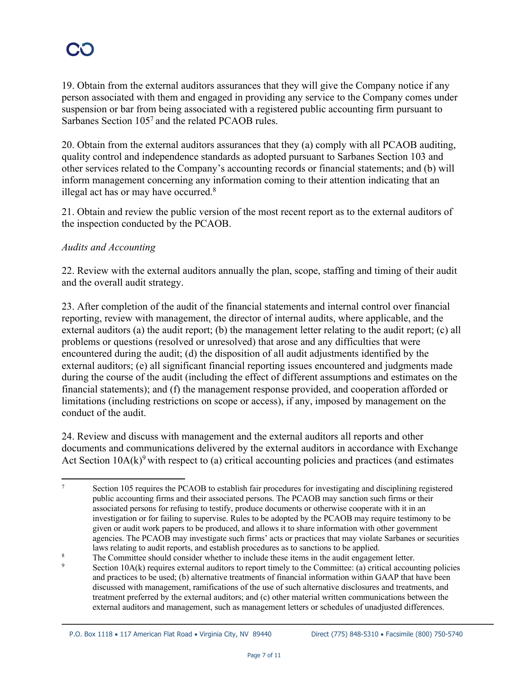19. Obtain from the external auditors assurances that they will give the Company notice if any person associated with them and engaged in providing any service to the Company comes under suspension or bar from being associated with a registered public accounting firm pursuant to Sarbanes Section 105<sup>7</sup> and the related PCAOB rules.

20. Obtain from the external auditors assurances that they (a) comply with all PCAOB auditing, quality control and independence standards as adopted pursuant to Sarbanes Section 103 and other services related to the Company's accounting records or financial statements; and (b) will inform management concerning any information coming to their attention indicating that an illegal act has or may have occurred.<sup>8</sup>

21. Obtain and review the public version of the most recent report as to the external auditors of the inspection conducted by the PCAOB.

### *Audits and Accounting*

22. Review with the external auditors annually the plan, scope, staffing and timing of their audit and the overall audit strategy.

23. After completion of the audit of the financial statements and internal control over financial reporting, review with management, the director of internal audits, where applicable, and the external auditors (a) the audit report; (b) the management letter relating to the audit report; (c) all problems or questions (resolved or unresolved) that arose and any difficulties that were encountered during the audit; (d) the disposition of all audit adjustments identified by the external auditors; (e) all significant financial reporting issues encountered and judgments made during the course of the audit (including the effect of different assumptions and estimates on the financial statements); and (f) the management response provided, and cooperation afforded or limitations (including restrictions on scope or access), if any, imposed by management on the conduct of the audit.

24. Review and discuss with management and the external auditors all reports and other documents and communications delivered by the external auditors in accordance with Exchange Act Section  $10A(k)$ <sup>9</sup> with respect to (a) critical accounting policies and practices (and estimates

<sup>&</sup>lt;sup>7</sup> Section 105 requires the PCAOB to establish fair procedures for investigating and disciplining registered public accounting firms and their associated persons. The PCAOB may sanction such firms or their associated persons for refusing to testify, produce documents or otherwise cooperate with it in an investigation or for failing to supervise. Rules to be adopted by the PCAOB may require testimony to be given or audit work papers to be produced, and allows it to share information with other government agencies. The PCAOB may investigate such firms' acts or practices that may violate Sarbanes or securities laws relating to audit reports, and establish procedures as to sanctions to be applied.

<sup>&</sup>lt;sup>8</sup> The Committee should consider whether to include these items in the audit engagement letter.

Section  $10A(k)$  requires external auditors to report timely to the Committee: (a) critical accounting policies and practices to be used; (b) alternative treatments of financial information within GAAP that have been discussed with management, ramifications of the use of such alternative disclosures and treatments, and treatment preferred by the external auditors; and (c) other material written communications between the external auditors and management, such as management letters or schedules of unadjusted differences.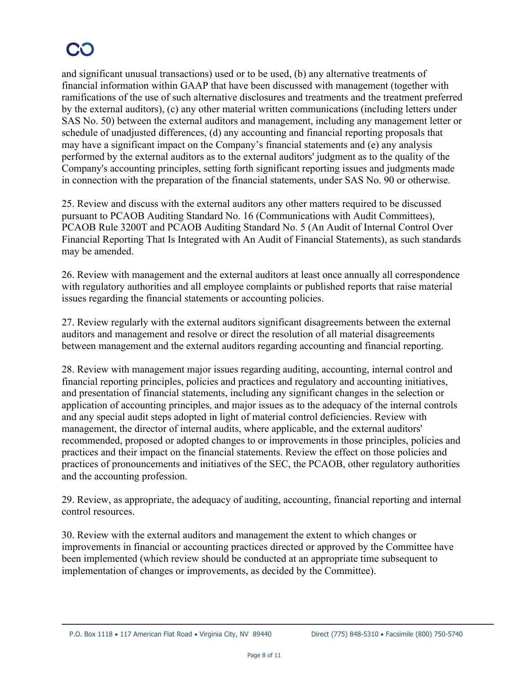and significant unusual transactions) used or to be used, (b) any alternative treatments of financial information within GAAP that have been discussed with management (together with ramifications of the use of such alternative disclosures and treatments and the treatment preferred by the external auditors), (c) any other material written communications (including letters under SAS No. 50) between the external auditors and management, including any management letter or schedule of unadjusted differences, (d) any accounting and financial reporting proposals that may have a significant impact on the Company's financial statements and (e) any analysis performed by the external auditors as to the external auditors' judgment as to the quality of the Company's accounting principles, setting forth significant reporting issues and judgments made in connection with the preparation of the financial statements, under SAS No. 90 or otherwise.

25. Review and discuss with the external auditors any other matters required to be discussed pursuant to PCAOB Auditing Standard No. 16 (Communications with Audit Committees), PCAOB Rule 3200T and PCAOB Auditing Standard No. 5 (An Audit of Internal Control Over Financial Reporting That Is Integrated with An Audit of Financial Statements), as such standards may be amended.

26. Review with management and the external auditors at least once annually all correspondence with regulatory authorities and all employee complaints or published reports that raise material issues regarding the financial statements or accounting policies.

27. Review regularly with the external auditors significant disagreements between the external auditors and management and resolve or direct the resolution of all material disagreements between management and the external auditors regarding accounting and financial reporting.

28. Review with management major issues regarding auditing, accounting, internal control and financial reporting principles, policies and practices and regulatory and accounting initiatives, and presentation of financial statements, including any significant changes in the selection or application of accounting principles, and major issues as to the adequacy of the internal controls and any special audit steps adopted in light of material control deficiencies. Review with management, the director of internal audits, where applicable, and the external auditors' recommended, proposed or adopted changes to or improvements in those principles, policies and practices and their impact on the financial statements. Review the effect on those policies and practices of pronouncements and initiatives of the SEC, the PCAOB, other regulatory authorities and the accounting profession.

29. Review, as appropriate, the adequacy of auditing, accounting, financial reporting and internal control resources.

30. Review with the external auditors and management the extent to which changes or improvements in financial or accounting practices directed or approved by the Committee have been implemented (which review should be conducted at an appropriate time subsequent to implementation of changes or improvements, as decided by the Committee).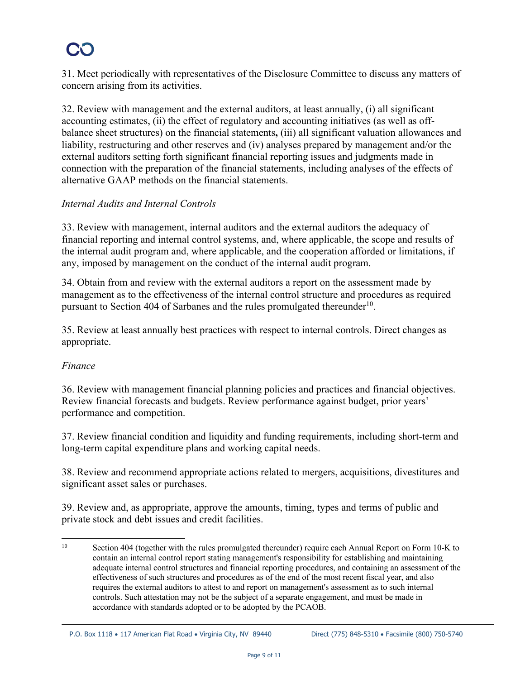31. Meet periodically with representatives of the Disclosure Committee to discuss any matters of concern arising from its activities.

32. Review with management and the external auditors, at least annually, (i) all significant accounting estimates, (ii) the effect of regulatory and accounting initiatives (as well as offbalance sheet structures) on the financial statements**,** (iii) all significant valuation allowances and liability, restructuring and other reserves and (iv) analyses prepared by management and/or the external auditors setting forth significant financial reporting issues and judgments made in connection with the preparation of the financial statements, including analyses of the effects of alternative GAAP methods on the financial statements.

### *Internal Audits and Internal Controls*

33. Review with management, internal auditors and the external auditors the adequacy of financial reporting and internal control systems, and, where applicable, the scope and results of the internal audit program and, where applicable, and the cooperation afforded or limitations, if any, imposed by management on the conduct of the internal audit program.

34. Obtain from and review with the external auditors a report on the assessment made by management as to the effectiveness of the internal control structure and procedures as required pursuant to Section 404 of Sarbanes and the rules promulgated thereunder<sup>10</sup>.

35. Review at least annually best practices with respect to internal controls. Direct changes as appropriate.

### *Finance*

36. Review with management financial planning policies and practices and financial objectives. Review financial forecasts and budgets. Review performance against budget, prior years' performance and competition.

37. Review financial condition and liquidity and funding requirements, including short-term and long-term capital expenditure plans and working capital needs.

38. Review and recommend appropriate actions related to mergers, acquisitions, divestitures and significant asset sales or purchases.

39. Review and, as appropriate, approve the amounts, timing, types and terms of public and private stock and debt issues and credit facilities.

<sup>&</sup>lt;sup>10</sup> Section 404 (together with the rules promulgated thereunder) require each Annual Report on Form 10-K to contain an internal control report stating management's responsibility for establishing and maintaining adequate internal control structures and financial reporting procedures, and containing an assessment of the effectiveness of such structures and procedures as of the end of the most recent fiscal year, and also requires the external auditors to attest to and report on management's assessment as to such internal controls. Such attestation may not be the subject of a separate engagement, and must be made in accordance with standards adopted or to be adopted by the PCAOB.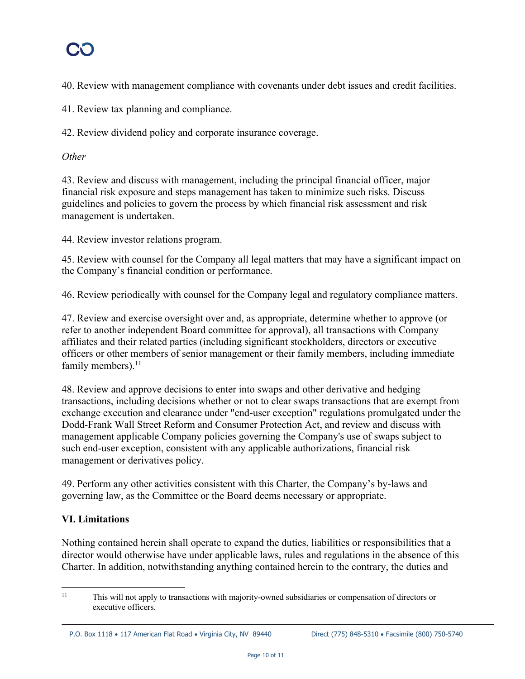40. Review with management compliance with covenants under debt issues and credit facilities.

41. Review tax planning and compliance.

42. Review dividend policy and corporate insurance coverage.

### *Other*

43. Review and discuss with management, including the principal financial officer, major financial risk exposure and steps management has taken to minimize such risks. Discuss guidelines and policies to govern the process by which financial risk assessment and risk management is undertaken.

44. Review investor relations program.

45. Review with counsel for the Company all legal matters that may have a significant impact on the Company's financial condition or performance.

46. Review periodically with counsel for the Company legal and regulatory compliance matters.

47. Review and exercise oversight over and, as appropriate, determine whether to approve (or refer to another independent Board committee for approval), all transactions with Company affiliates and their related parties (including significant stockholders, directors or executive officers or other members of senior management or their family members, including immediate family members).<sup>11</sup>

48. Review and approve decisions to enter into swaps and other derivative and hedging transactions, including decisions whether or not to clear swaps transactions that are exempt from exchange execution and clearance under "end-user exception" regulations promulgated under the Dodd-Frank Wall Street Reform and Consumer Protection Act, and review and discuss with management applicable Company policies governing the Company's use of swaps subject to such end-user exception, consistent with any applicable authorizations, financial risk management or derivatives policy.

49. Perform any other activities consistent with this Charter, the Company's by-laws and governing law, as the Committee or the Board deems necessary or appropriate.

## **VI. Limitations**

Nothing contained herein shall operate to expand the duties, liabilities or responsibilities that a director would otherwise have under applicable laws, rules and regulations in the absence of this Charter. In addition, notwithstanding anything contained herein to the contrary, the duties and

<sup>&</sup>lt;sup>11</sup> This will not apply to transactions with majority-owned subsidiaries or compensation of directors or executive officers.